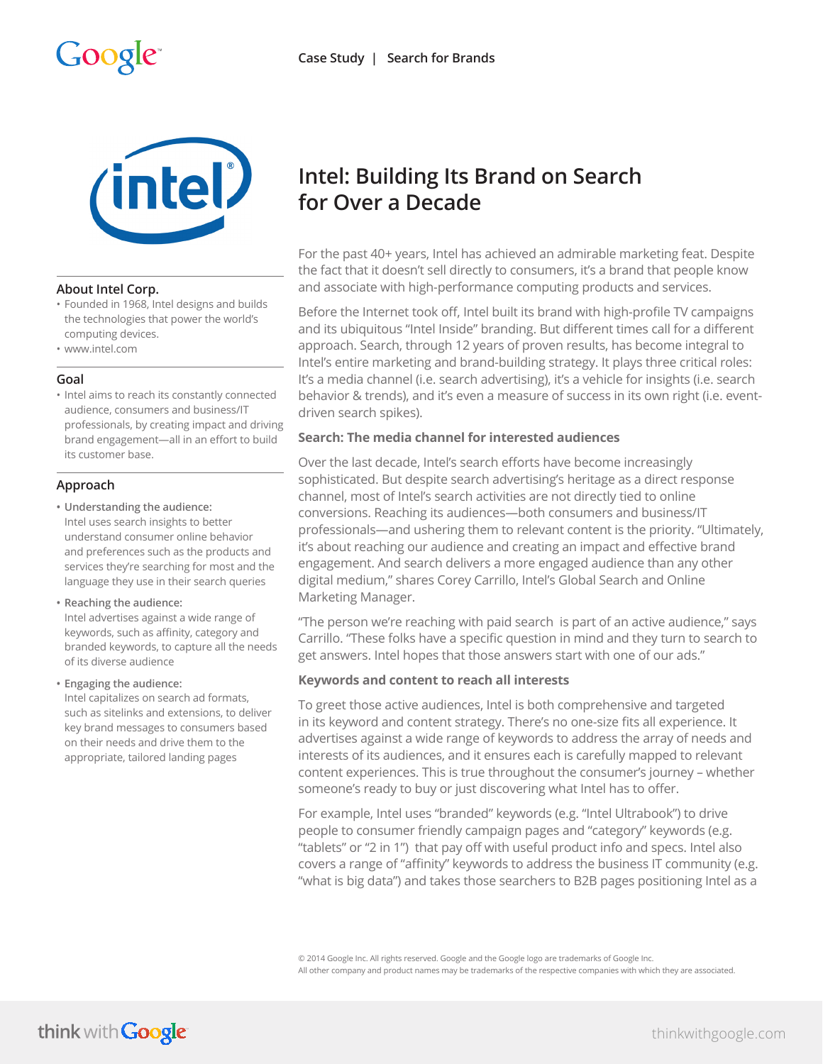

#### **About Intel Corp.**

- Founded in 1968, Intel designs and builds the technologies that power the world's computing devices.
- www.intel.com

#### **Goal**

• Intel aims to reach its constantly connected audience, consumers and business/IT professionals, by creating impact and driving brand engagement—all in an effort to build its customer base.

# **Approach**

- **• Understanding the audience:** Intel uses search insights to better understand consumer online behavior and preferences such as the products and services they're searching for most and the language they use in their search queries
- **• Reaching the audience:** Intel advertises against a wide range of keywords, such as affinity, category and branded keywords, to capture all the needs of its diverse audience
- **• Engaging the audience:** Intel capitalizes on search ad formats, such as sitelinks and extensions, to deliver key brand messages to consumers based on their needs and drive them to the appropriate, tailored landing pages

# **Intel: Building Its Brand on Search for Over a Decade**

For the past 40+ years, Intel has achieved an admirable marketing feat. Despite the fact that it doesn't sell directly to consumers, it's a brand that people know and associate with high-performance computing products and services.

Before the Internet took off, Intel built its brand with high-profile TV campaigns and its ubiquitous "Intel Inside" branding. But different times call for a different approach. Search, through 12 years of proven results, has become integral to Intel's entire marketing and brand-building strategy. It plays three critical roles: It's a media channel (i.e. search advertising), it's a vehicle for insights (i.e. search behavior & trends), and it's even a measure of success in its own right (i.e. eventdriven search spikes).

## **Search: The media channel for interested audiences**

Over the last decade, Intel's search efforts have become increasingly sophisticated. But despite search advertising's heritage as a direct response channel, most of Intel's search activities are not directly tied to online conversions. Reaching its audiences—both consumers and business/IT professionals—and ushering them to relevant content is the priority. "Ultimately, it's about reaching our audience and creating an impact and effective brand engagement. And search delivers a more engaged audience than any other digital medium," shares Corey Carrillo, Intel's Global Search and Online Marketing Manager.

"The person we're reaching with paid search is part of an active audience," says Carrillo. "These folks have a specific question in mind and they turn to search to get answers. Intel hopes that those answers start with one of our ads."

# **Keywords and content to reach all interests**

To greet those active audiences, Intel is both comprehensive and targeted in its keyword and content strategy. There's no one-size fits all experience. It advertises against a wide range of keywords to address the array of needs and interests of its audiences, and it ensures each is carefully mapped to relevant content experiences. This is true throughout the consumer's journey – whether someone's ready to buy or just discovering what Intel has to offer.

For example, Intel uses "branded" keywords (e.g. "Intel Ultrabook") to drive people to consumer friendly campaign pages and "category" keywords (e.g. "tablets" or "2 in 1") that pay off with useful product info and specs. Intel also covers a range of "affinity" keywords to address the business IT community (e.g. "what is big data") and takes those searchers to B2B pages positioning Intel as a

© 2014 Google Inc. All rights reserved. Google and the Google logo are trademarks of Google Inc. All other company and product names may be trademarks of the respective companies with which they are associated.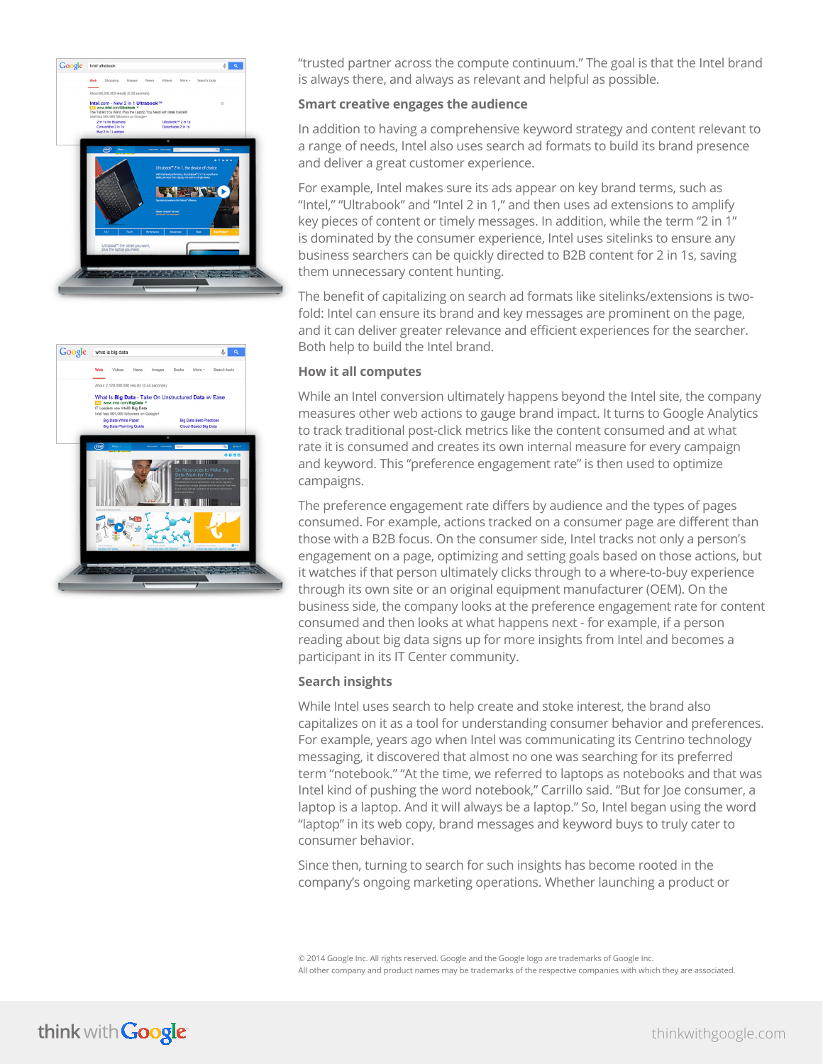



"trusted partner across the compute continuum." The goal is that the Intel brand is always there, and always as relevant and helpful as possible.

#### **Smart creative engages the audience**

In addition to having a comprehensive keyword strategy and content relevant to a range of needs, Intel also uses search ad formats to build its brand presence and deliver a great customer experience.

For example, Intel makes sure its ads appear on key brand terms, such as "Intel," "Ultrabook" and "Intel 2 in 1," and then uses ad extensions to amplify key pieces of content or timely messages. In addition, while the term "2 in 1" is dominated by the consumer experience, Intel uses sitelinks to ensure any business searchers can be quickly directed to B2B content for 2 in 1s, saving them unnecessary content hunting.

The benefit of capitalizing on search ad formats like sitelinks/extensions is twofold: Intel can ensure its brand and key messages are prominent on the page, and it can deliver greater relevance and efficient experiences for the searcher. Both help to build the Intel brand.

## **How it all computes**

While an Intel conversion ultimately happens beyond the Intel site, the company measures other web actions to gauge brand impact. It turns to Google Analytics to track traditional post-click metrics like the content consumed and at what rate it is consumed and creates its own internal measure for every campaign and keyword. This "preference engagement rate" is then used to optimize campaigns.

The preference engagement rate differs by audience and the types of pages consumed. For example, actions tracked on a consumer page are different than those with a B2B focus. On the consumer side, Intel tracks not only a person's engagement on a page, optimizing and setting goals based on those actions, but it watches if that person ultimately clicks through to a where-to-buy experience through its own site or an original equipment manufacturer (OEM). On the business side, the company looks at the preference engagement rate for content consumed and then looks at what happens next - for example, if a person reading about big data signs up for more insights from Intel and becomes a participant in its IT Center community.

#### **Search insights**

While Intel uses search to help create and stoke interest, the brand also capitalizes on it as a tool for understanding consumer behavior and preferences. For example, years ago when Intel was communicating its Centrino technology messaging, it discovered that almost no one was searching for its preferred term "notebook." "At the time, we referred to laptops as notebooks and that was Intel kind of pushing the word notebook," Carrillo said. "But for Joe consumer, a laptop is a laptop. And it will always be a laptop." So, Intel began using the word "laptop" in its web copy, brand messages and keyword buys to truly cater to consumer behavior.

Since then, turning to search for such insights has become rooted in the company's ongoing marketing operations. Whether launching a product or

© 2014 Google Inc. All rights reserved. Google and the Google logo are trademarks of Google Inc. All other company and product names may be trademarks of the respective companies with which they are associated.